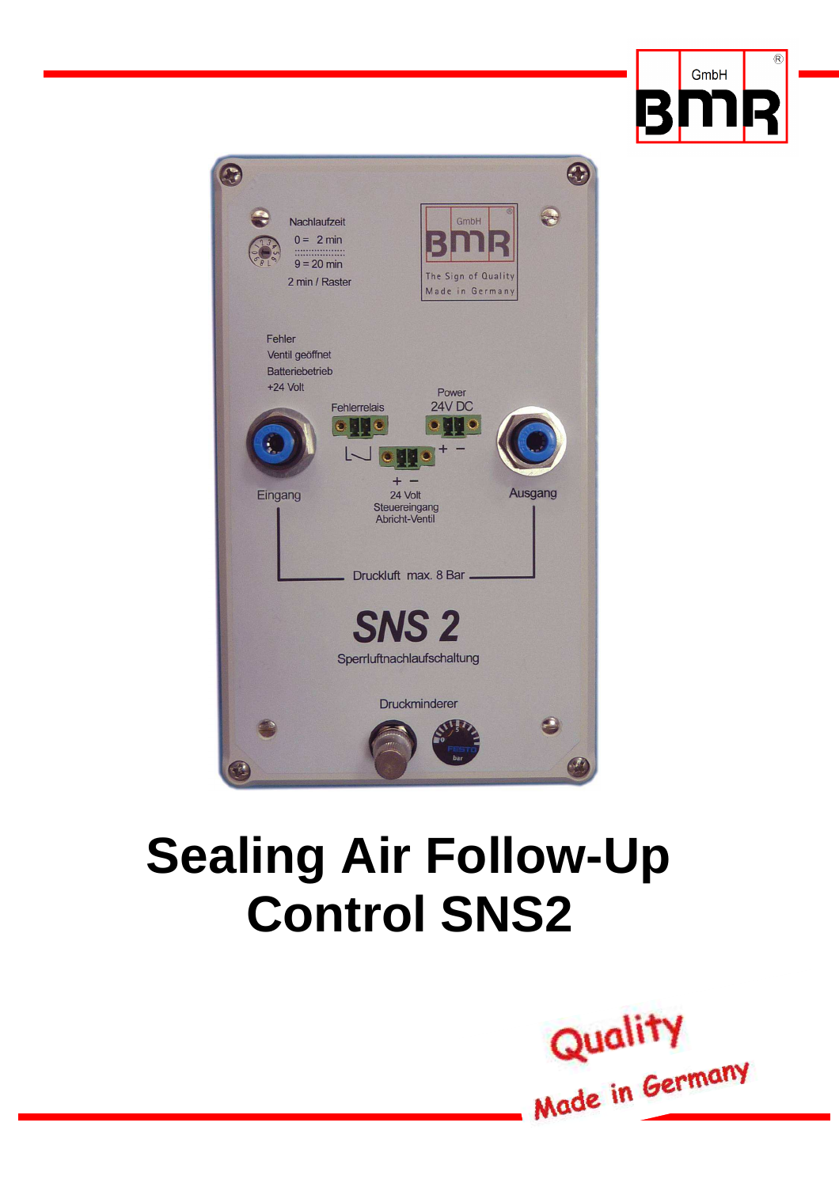



# **Sealing Air Follow-Up Control SNS2**

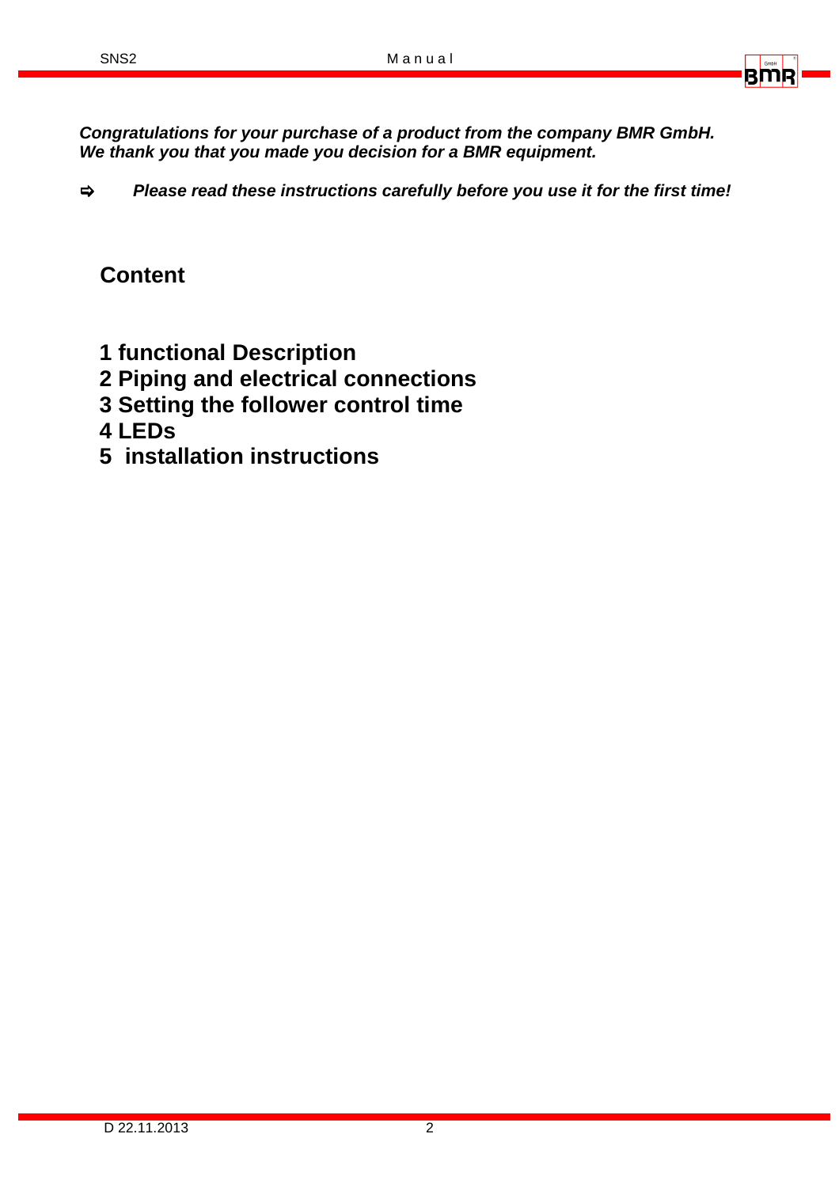

**Congratulations for your purchase of a product from the company BMR GmbH. We thank you that you made you decision for a BMR equipment.** 

 **Please read these instructions carefully before you use it for the first time!**

## **Content**

- **1 functional Description**
- **2 Piping and electrical connections**
- **3 Setting the follower control time**
- **4 LEDs**
- **5 installation instructions**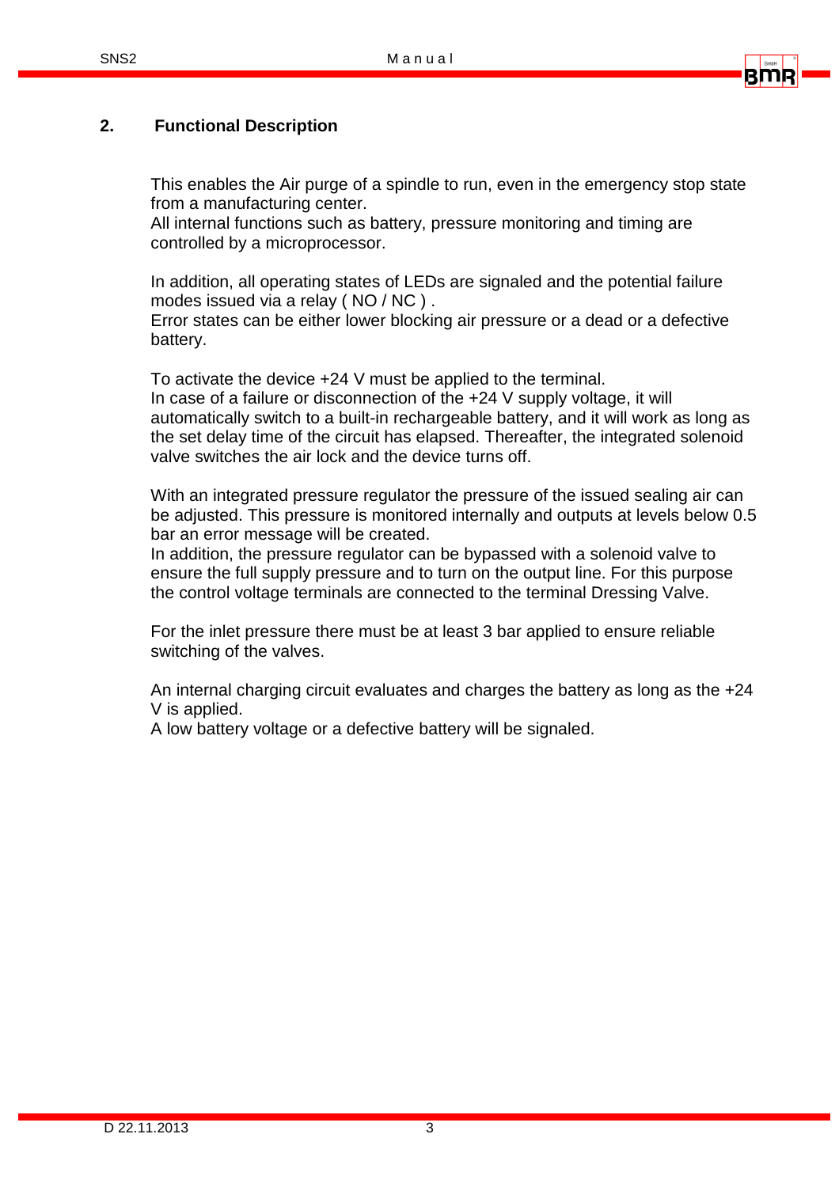

## **2. Functional Description**

This enables the Air purge of a spindle to run, even in the emergency stop state from a manufacturing center.

All internal functions such as battery, pressure monitoring and timing are controlled by a microprocessor.

In addition, all operating states of LEDs are signaled and the potential failure modes issued via a relay ( NO / NC ) .

Error states can be either lower blocking air pressure or a dead or a defective battery.

To activate the device +24 V must be applied to the terminal. In case of a failure or disconnection of the +24 V supply voltage, it will automatically switch to a built-in rechargeable battery, and it will work as long as the set delay time of the circuit has elapsed. Thereafter, the integrated solenoid valve switches the air lock and the device turns off.

With an integrated pressure regulator the pressure of the issued sealing air can be adjusted. This pressure is monitored internally and outputs at levels below 0.5 bar an error message will be created.

In addition, the pressure regulator can be bypassed with a solenoid valve to ensure the full supply pressure and to turn on the output line. For this purpose the control voltage terminals are connected to the terminal Dressing Valve.

For the inlet pressure there must be at least 3 bar applied to ensure reliable switching of the valves.

An internal charging circuit evaluates and charges the battery as long as the +24 V is applied.

A low battery voltage or a defective battery will be signaled.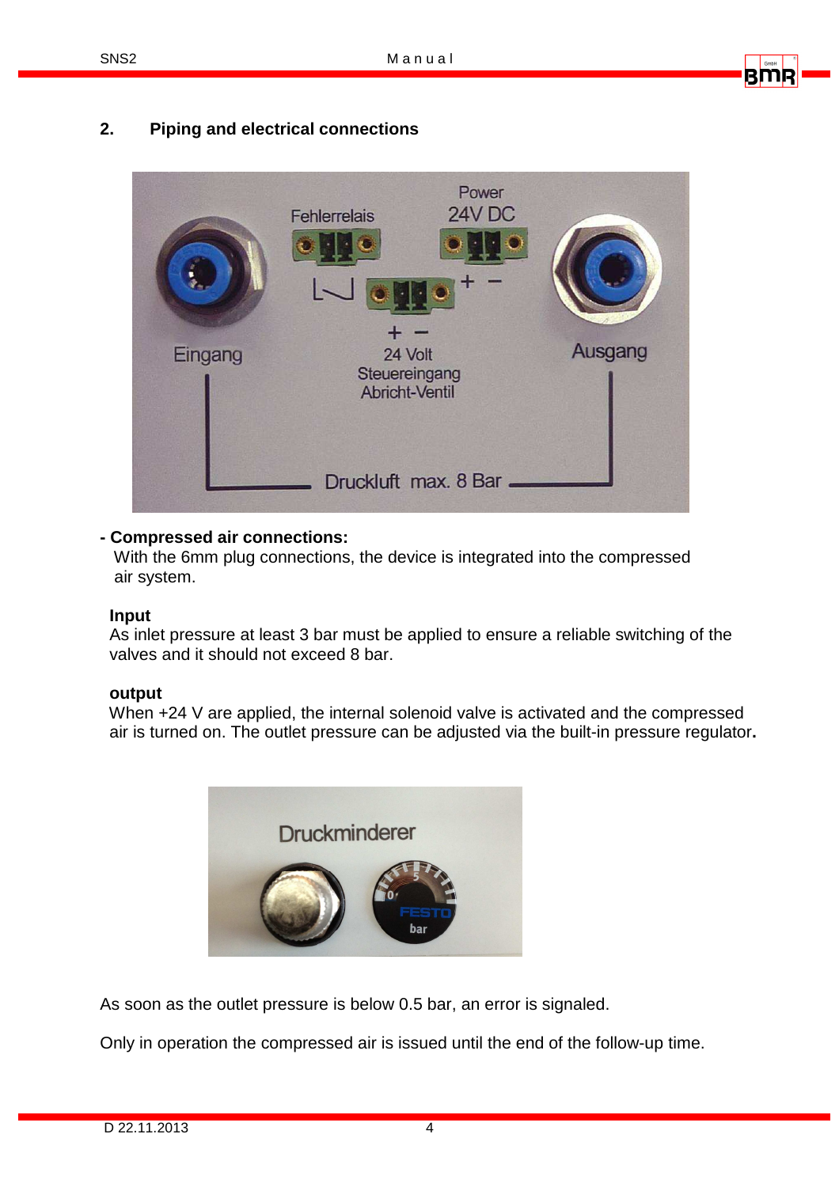## **2. Piping and electrical connections**



#### **- Compressed air connections:**

 With the 6mm plug connections, the device is integrated into the compressed air system.

#### **Input**

 As inlet pressure at least 3 bar must be applied to ensure a reliable switching of the valves and it should not exceed 8 bar.

#### **output**

When  $+24$  V are applied, the internal solenoid valve is activated and the compressed air is turned on. The outlet pressure can be adjusted via the built-in pressure regulator**.** 



As soon as the outlet pressure is below 0.5 bar, an error is signaled.

Only in operation the compressed air is issued until the end of the follow-up time.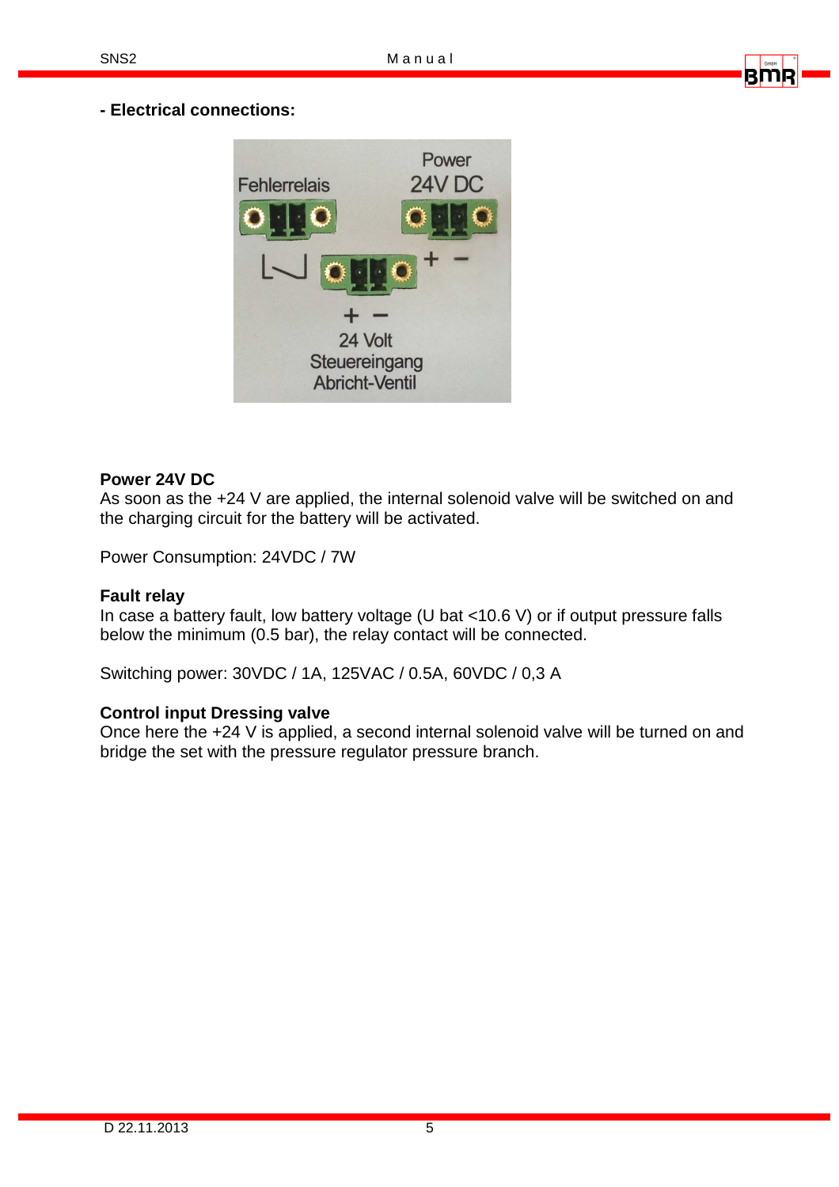## **- Electrical connections:**



#### **Power 24V DC**

As soon as the +24 V are applied, the internal solenoid valve will be switched on and the charging circuit for the battery will be activated.

Power Consumption: 24VDC / 7W

#### **Fault relay**

In case a battery fault, low battery voltage (U bat <10.6 V) or if output pressure falls below the minimum (0.5 bar), the relay contact will be connected.

Switching power: 30VDC / 1A, 125VAC / 0.5A, 60VDC / 0,3 A

#### **Control input Dressing valve**

Once here the +24 V is applied, a second internal solenoid valve will be turned on and bridge the set with the pressure regulator pressure branch.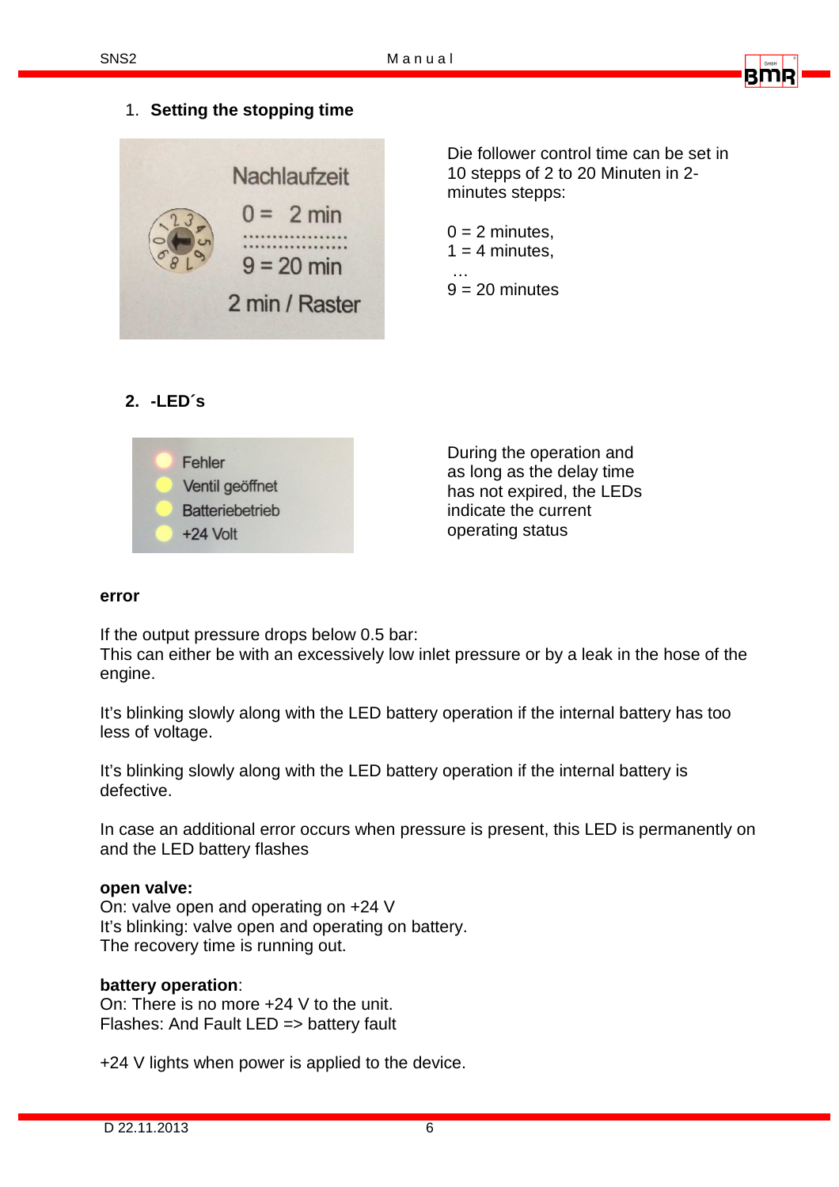

## 1. **Setting the stopping time**



Die follower control time can be set in 10 stepps of 2 to 20 Minuten in 2 minutes stepps:

 $0 = 2$  minutes,  $1 = 4$  minutes, …  $9 = 20$  minutes

## **2. -LED´s**



During the operation and as long as the delay time has not expired, the LEDs indicate the current operating status

#### **error**

If the output pressure drops below 0.5 bar:

This can either be with an excessively low inlet pressure or by a leak in the hose of the engine.

It's blinking slowly along with the LED battery operation if the internal battery has too less of voltage.

It's blinking slowly along with the LED battery operation if the internal battery is defective.

In case an additional error occurs when pressure is present, this LED is permanently on and the LED battery flashes

#### **open valve:**

On: valve open and operating on +24 V It's blinking: valve open and operating on battery. The recovery time is running out.

#### **battery operation**:

On: There is no more +24 V to the unit. Flashes: And Fault LED => battery fault

+24 V lights when power is applied to the device.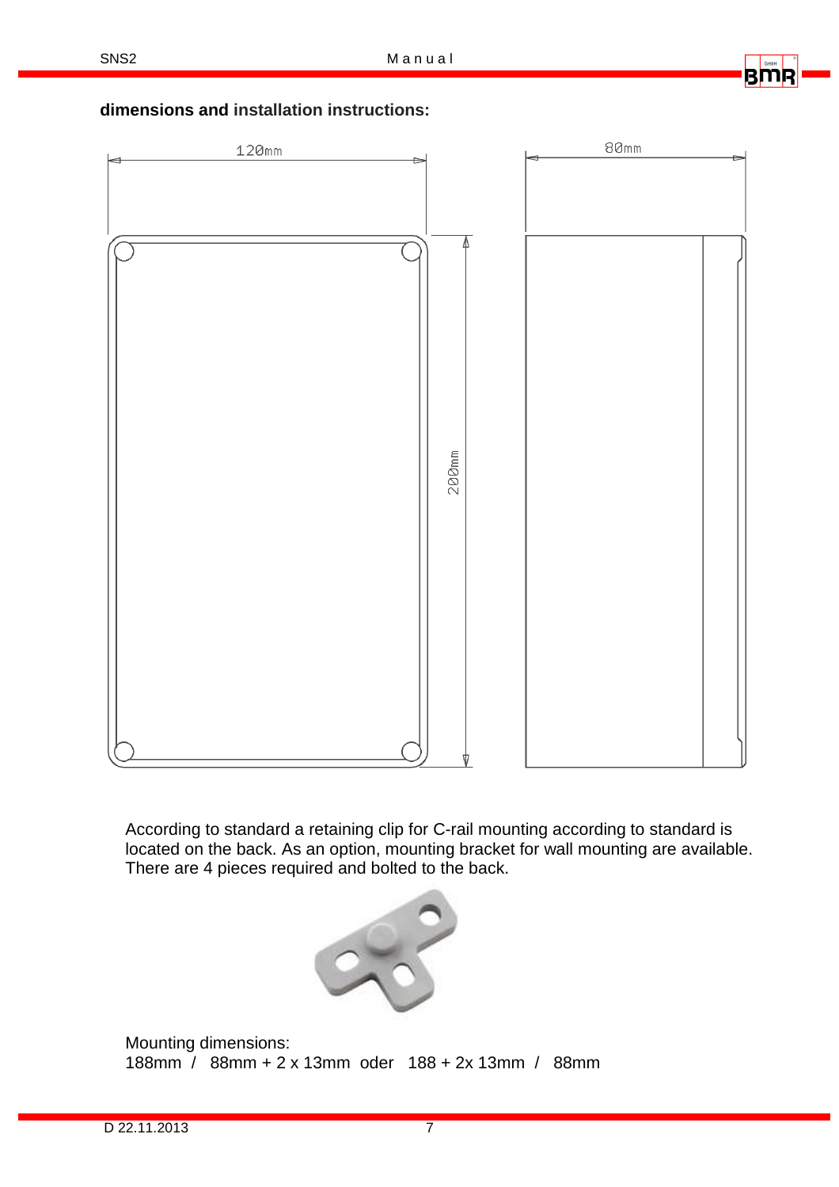RMI

## **dimensions and installation instructions:**



According to standard a retaining clip for C-rail mounting according to standard is located on the back. As an option, mounting bracket for wall mounting are available. There are 4 pieces required and bolted to the back.



Mounting dimensions: 188mm / 88mm + 2 x 13mm oder 188 + 2x 13mm / 88mm